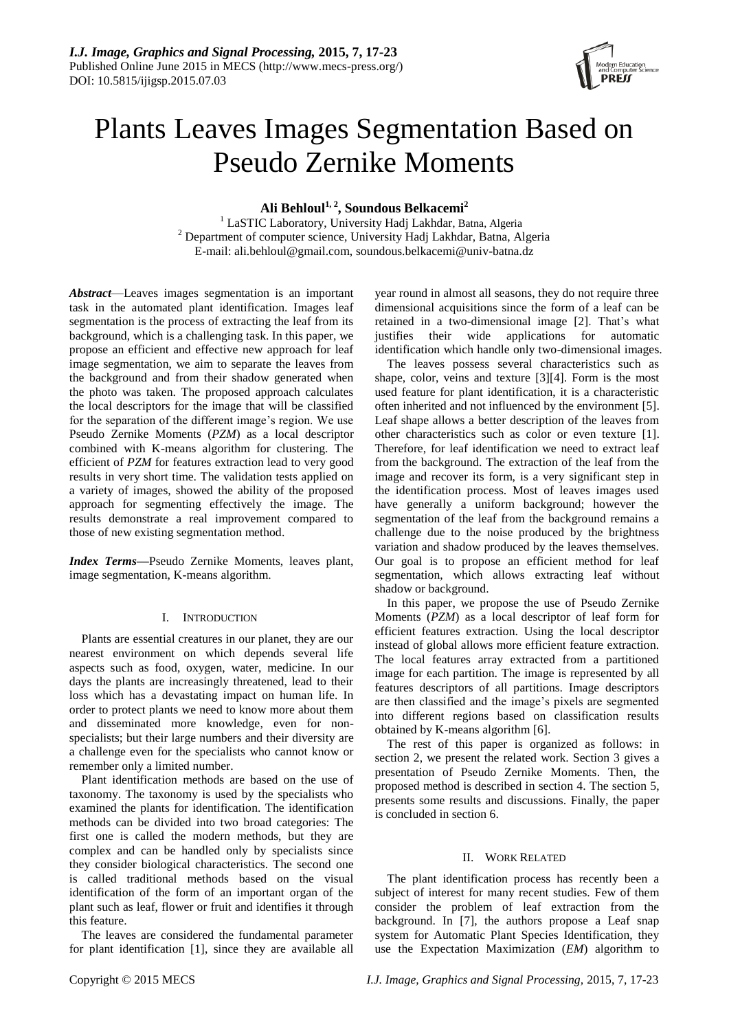

# Plants Leaves Images Segmentation Based on Pseudo Zernike Moments

**Ali Behloul1, <sup>2</sup> , Soundous Belkacemi<sup>2</sup>**

<sup>1</sup> LaSTIC Laboratory, University Hadj Lakhdar, Batna, Algeria <sup>2</sup> Department of computer science, University Hadj Lakhdar, Batna, Algeria E-mail: ali.behloul@gmail.com, soundous.belkacemi@univ-batna.dz

*Abstract*—Leaves images segmentation is an important task in the automated plant identification. Images leaf segmentation is the process of extracting the leaf from its background, which is a challenging task. In this paper, we propose an efficient and effective new approach for leaf image segmentation, we aim to separate the leaves from the background and from their shadow generated when the photo was taken. The proposed approach calculates the local descriptors for the image that will be classified for the separation of the different image's region. We use Pseudo Zernike Moments (*PZM*) as a local descriptor combined with K-means algorithm for clustering. The efficient of *PZM* for features extraction lead to very good results in very short time. The validation tests applied on a variety of images, showed the ability of the proposed approach for segmenting effectively the image. The results demonstrate a real improvement compared to those of new existing segmentation method.

*Index Terms—*Pseudo Zernike Moments, leaves plant, image segmentation, K-means algorithm.

# I. INTRODUCTION

Plants are essential creatures in our planet, they are our nearest environment on which depends several life aspects such as food, oxygen, water, medicine. In our days the plants are increasingly threatened, lead to their loss which has a devastating impact on human life. In order to protect plants we need to know more about them and disseminated more knowledge, even for nonspecialists; but their large numbers and their diversity are a challenge even for the specialists who cannot know or remember only a limited number.

Plant identification methods are based on the use of taxonomy. The taxonomy is used by the specialists who examined the plants for identification. The identification methods can be divided into two broad categories: The first one is called the modern methods, but they are complex and can be handled only by specialists since they consider biological characteristics. The second one is called traditional methods based on the visual identification of the form of an important organ of the plant such as leaf, flower or fruit and identifies it through this feature.

The leaves are considered the fundamental parameter for plant identification [1], since they are available all year round in almost all seasons, they do not require three dimensional acquisitions since the form of a leaf can be retained in a two-dimensional image [2]. That's what justifies their wide applications for automatic identification which handle only two-dimensional images.

The leaves possess several characteristics such as shape, color, veins and texture [3][4]. Form is the most used feature for plant identification, it is a characteristic often inherited and not influenced by the environment [5]. Leaf shape allows a better description of the leaves from other characteristics such as color or even texture [1]. Therefore, for leaf identification we need to extract leaf from the background. The extraction of the leaf from the image and recover its form, is a very significant step in the identification process. Most of leaves images used have generally a uniform background; however the segmentation of the leaf from the background remains a challenge due to the noise produced by the brightness variation and shadow produced by the leaves themselves. Our goal is to propose an efficient method for leaf segmentation, which allows extracting leaf without shadow or background.

In this paper, we propose the use of Pseudo Zernike Moments (*PZM*) as a local descriptor of leaf form for efficient features extraction. Using the local descriptor instead of global allows more efficient feature extraction. The local features array extracted from a partitioned image for each partition. The image is represented by all features descriptors of all partitions. Image descriptors are then classified and the image's pixels are segmented into different regions based on classification results obtained by K-means algorithm [6].

The rest of this paper is organized as follows: in section 2, we present the related work. Section 3 gives a presentation of Pseudo Zernike Moments. Then, the proposed method is described in section 4. The section 5, presents some results and discussions. Finally, the paper is concluded in section 6.

# II. WORK RELATED

The plant identification process has recently been a subject of interest for many recent studies. Few of them consider the problem of leaf extraction from the background. In [7], the authors propose a Leaf snap system for Automatic Plant Species Identification, they use the Expectation Maximization (*EM*) algorithm to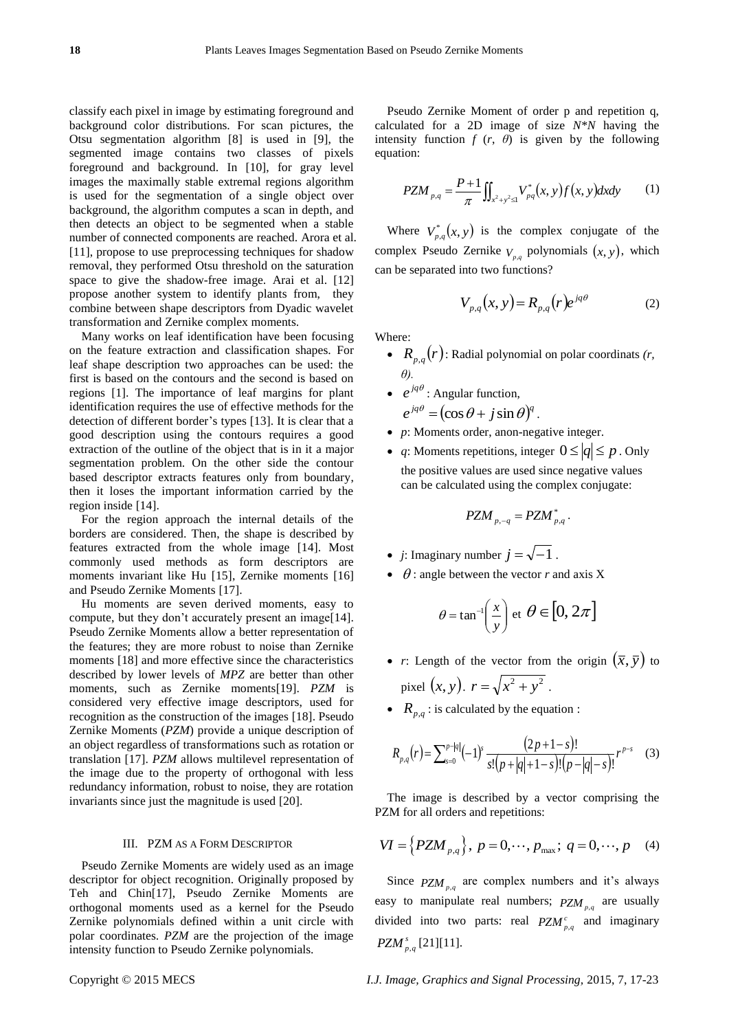classify each pixel in image by estimating foreground and background color distributions. For scan pictures, the Otsu segmentation algorithm [8] is used in [9], the segmented image contains two classes of pixels foreground and background. In [10], for gray level images the maximally stable extremal regions algorithm is used for the segmentation of a single object over background, the algorithm computes a scan in depth, and then detects an object to be segmented when a stable number of connected components are reached. Arora et al. [11], propose to use preprocessing techniques for shadow removal, they performed Otsu threshold on the saturation space to give the shadow-free image. Arai et al. [12] propose another system to identify plants from, they combine between shape descriptors from Dyadic wavelet transformation and Zernike complex moments.

Many works on leaf identification have been focusing on the feature extraction and classification shapes. For leaf shape description two approaches can be used: the first is based on the contours and the second is based on regions [1]. The importance of leaf margins for plant identification requires the use of effective methods for the detection of different border's types [13]. It is clear that a good description using the contours requires a good extraction of the outline of the object that is in it a major segmentation problem. On the other side the contour based descriptor extracts features only from boundary, then it loses the important information carried by the region inside [14].

For the region approach the internal details of the borders are considered. Then, the shape is described by features extracted from the whole image [14]. Most commonly used methods as form descriptors are moments invariant like Hu [15], Zernike moments [16] and Pseudo Zernike Moments [17].

Hu moments are seven derived moments, easy to compute, but they don't accurately present an image[14]. Pseudo Zernike Moments allow a better representation of the features; they are more robust to noise than Zernike moments [18] and more effective since the characteristics described by lower levels of *MPZ* are better than other moments, such as Zernike moments[19]. *PZM* is considered very effective image descriptors, used for recognition as the construction of the images [18]. Pseudo Zernike Moments (*PZM*) provide a unique description of an object regardless of transformations such as rotation or translation [17]. *PZM* allows multilevel representation of the image due to the property of orthogonal with less redundancy information, robust to noise, they are rotation invariants since just the magnitude is used [20].

#### III. PZM AS A FORM DESCRIPTOR

Pseudo Zernike Moments are widely used as an image descriptor for object recognition. Originally proposed by Teh and Chin[17], Pseudo Zernike Moments are orthogonal moments used as a kernel for the Pseudo Zernike polynomials defined within a unit circle with polar coordinates. *PZM* are the projection of the image intensity function to Pseudo Zernike polynomials.

Pseudo Zernike Moment of order p and repetition q, calculated for a 2D image of size *N\*N* having the intensity function  $f(r, \theta)$  is given by the following equation:

$$
PZM_{p,q} = \frac{P+1}{\pi} \iint_{x^2 + y^2 \le 1} V_{pq}^*(x, y) f(x, y) dxdy \tag{1}
$$

Where  $V_{p,q}^*(x, y)$  is the complex conjugate of the complex Pseudo Zernike  $V_{p,q}$  polynomials  $(x, y)$ , which can be separated into two functions?

$$
V_{p,q}(x, y) = R_{p,q}(r)e^{jq\theta}
$$
 (2)

Where:

- $R_{p,q}(r)$ : Radial polynomial on polar coordinats  $(r, r)$ *θ).*
- $e^{jq\theta}$ : Angular function,  $e^{jq\theta} = (\cos \theta + j \sin \theta)^q$ .
- *p*: Moments order, anon-negative integer.
- *q*: Moments repetitions, integer  $0 \le |q| \le p$ . Only the positive values are used since negative values can be calculated using the complex conjugate:

$$
PZM_{p,-q}=PZM_{p,q}^*.
$$

- *j*: Imaginary number  $j = \sqrt{-1}$ .
- $\bullet$   $\theta$  : angle between the vector *r* and axis X

$$
\theta = \tan^{-1}\left(\frac{x}{y}\right) \text{ et } \theta \in [0, 2\pi]
$$

- *r*: Length of the vector from the origin  $(\bar{x}, \bar{y})$  to pixel  $(x, y)$ .  $r = \sqrt{x^2 + y^2}$ .
- $R_{p,q}$ : is calculated by the equation :

$$
R_{p,q}(r) = \sum_{s=0}^{p+|q|} (-1)^s \frac{(2p+1-s)!}{s!(p+|q|+1-s)!(p-|q|-s)!} r^{p-s}
$$
 (3)

The image is described by a vector comprising the PZM for all orders and repetitions:

$$
VI = \{PZM_{p,q}\}, p = 0, \dots, p_{\text{max}}; q = 0, \dots, p
$$
 (4)

Since  $PZM_{p,q}$  are complex numbers and it's always easy to manipulate real numbers;  $PZM_{p,q}$  are usually divided into two parts: real  $PZM_{p,q}^c$  and imaginary *PZM*<sup>*s*</sup><sub>*p*,*q*</sub> [21][11].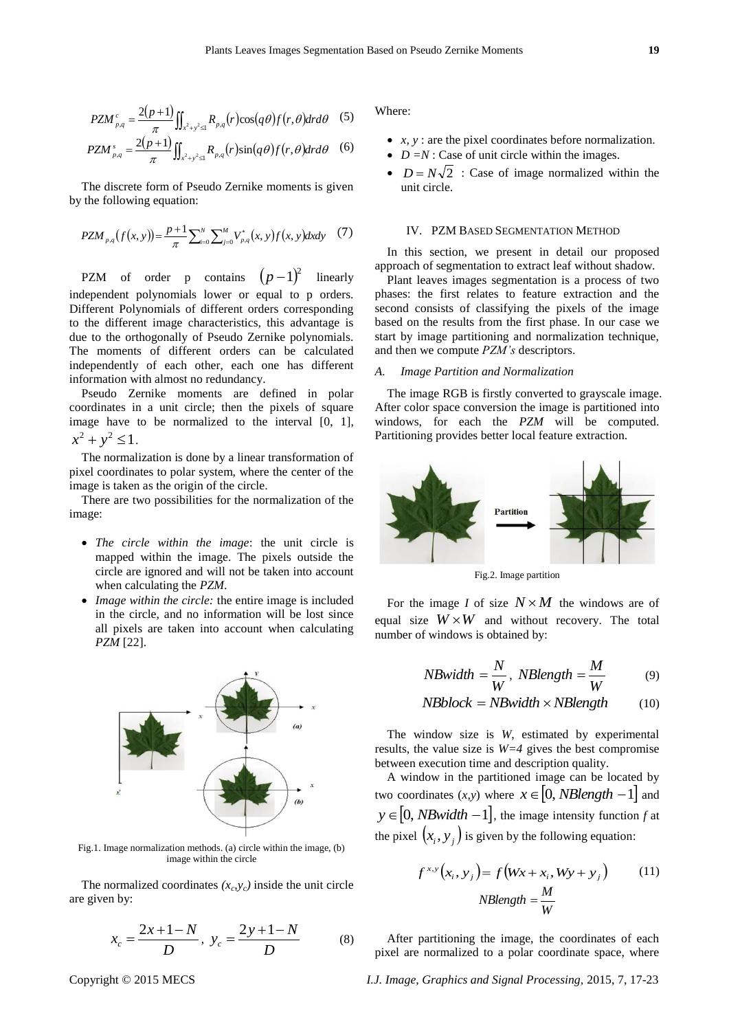$$
PZM_{p,q}^c = \frac{2(p+1)}{\pi} \iint_{x^2 + y^2 \leq 1} R_{p,q}(r) \cos(q\theta) f(r,\theta) dr d\theta \quad (5)
$$

$$
PZM_{p,q}^s = \frac{2(p+1)}{\pi} \iint_{x^2+y^2 \leq 1} R_{p,q}(r) \sin(q\theta) f(r,\theta) dr d\theta \quad (6)
$$

The discrete form of Pseudo Zernike moments is given by the following equation:

$$
PZM_{p,q}(f(x, y)) = \frac{p+1}{\pi} \sum_{i=0}^{N} \sum_{j=0}^{M} V_{p,q}^{*}(x, y) f(x, y) dxdy \quad (7)
$$

PZM of order p contains  $(p-1)^2$  linearly independent polynomials lower or equal to p orders. Different Polynomials of different orders corresponding to the different image characteristics, this advantage is due to the orthogonally of Pseudo Zernike polynomials. The moments of different orders can be calculated independently of each other, each one has different information with almost no redundancy.

Pseudo Zernike moments are defined in polar coordinates in a unit circle; then the pixels of square image have to be normalized to the interval [0, 1],  $x^2 + y^2 \leq 1$ .

The normalization is done by a linear transformation of pixel coordinates to polar system, where the center of the image is taken as the origin of the circle.

There are two possibilities for the normalization of the image:

- *The circle within the image*: the unit circle is mapped within the image. The pixels outside the circle are ignored and will not be taken into account when calculating the *PZM*.
- *Image within the circle:* the entire image is included in the circle, and no information will be lost since all pixels are taken into account when calculating *PZM* [22].



Fig.1. Image normalization methods. (a) circle within the image, (b) image within the circle

The normalized coordinates  $(x_c, y_c)$  inside the unit circle are given by:

$$
x_c = \frac{2x+1-N}{D}, \ y_c = \frac{2y+1-N}{D} \tag{8}
$$

Where:

- *x, y* : are the pixel coordinates before normalization.
- $D = N$ : Case of unit circle within the images.
- $D = N\sqrt{2}$ : Case of image normalized within the unit circle.

#### IV. PZM BASED SEGMENTATION METHOD

In this section, we present in detail our proposed approach of segmentation to extract leaf without shadow.

Plant leaves images segmentation is a process of two phases: the first relates to feature extraction and the second consists of classifying the pixels of the image based on the results from the first phase. In our case we start by image partitioning and normalization technique, and then we compute *PZM's* descriptors.

## *A. Image Partition and Normalization*

The image RGB is firstly converted to grayscale image. After color space conversion the image is partitioned into windows, for each the *PZM* will be computed. Partitioning provides better local feature extraction.



Fig.2. Image partition

For the image *I* of size  $N \times M$  the windows are of equal size  $W \times W$  and without recovery. The total number of windows is obtained by:

$$
NBwidth = \frac{N}{W}, \ NBlength = \frac{M}{W} \tag{9}
$$

$$
NBblock = NBwidth \times NBlength
$$
 (10)

The window size is *W*, estimated by experimental results, the value size is *W=4* gives the best compromise between execution time and description quality.

A window in the partitioned image can be located by two coordinates  $(x, y)$  where  $x \in [0, NBlength -1]$  and  $y \in [0, NBwidth - 1]$ , the image intensity function *f* at the pixel  $(x_i, y_j)$  is given by the following equation:

$$
f^{x,y}(x_i, y_j) = f(Wx + x_i, Wy + y_j)
$$
 (11)  
NBlength =  $\frac{M}{W}$ 

After partitioning the image, the coordinates of each pixel are normalized to a polar coordinate space, where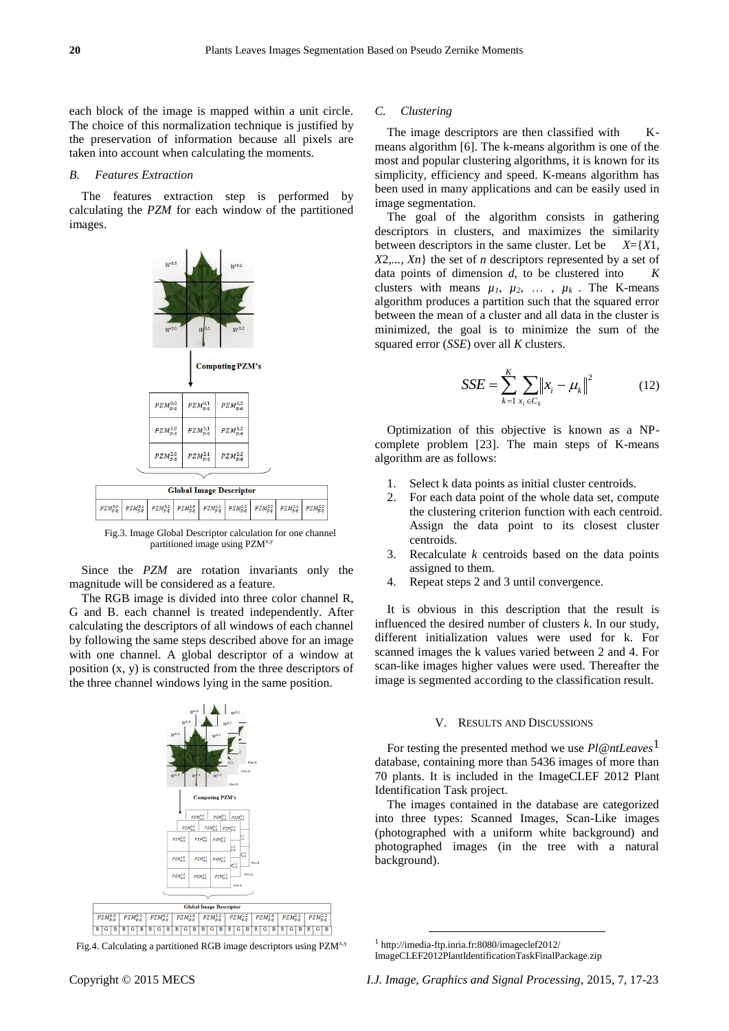each block of the image is mapped within a unit circle. The choice of this normalization technique is justified by the preservation of information because all pixels are taken into account when calculating the moments.

#### *B. Features Extraction*

The features extraction step is performed by calculating the *PZM* for each window of the partitioned images.



Fig.3. Image Global Descriptor calculation for one channel partitioned image using PZM<sup>x,y</sup>

Since the *PZM* are rotation invariants only the magnitude will be considered as a feature.

The RGB image is divided into three color channel R, G and B. each channel is treated independently. After calculating the descriptors of all windows of each channel by following the same steps described above for an image with one channel. A global descriptor of a window at position (x, y) is constructed from the three descriptors of the three channel windows lying in the same position.





#### *C. Clustering*

The image descriptors are then classified with Kmeans algorithm [6]. The k-means algorithm is one of the most and popular clustering algorithms, it is known for its simplicity, efficiency and speed. K-means algorithm has been used in many applications and can be easily used in image segmentation.

The goal of the algorithm consists in gathering descriptors in clusters, and maximizes the similarity between descriptors in the same cluster. Let be *X*={*X*1*, X*2*,..., Xn*} the set of *n* descriptors represented by a set of data points of dimension *d*, to be clustered into *K* clusters with means  $\mu_1$ ,  $\mu_2$ , ...,  $\mu_k$ . The K-means algorithm produces a partition such that the squared error between the mean of a cluster and all data in the cluster is minimized, the goal is to minimize the sum of the squared error (*SSE*) over all *K* clusters.

$$
SSE = \sum_{k=1}^{K} \sum_{x_i \in C_k} ||x_i - \mu_k||^2
$$
 (12)

Optimization of this objective is known as a NPcomplete problem [23]. The main steps of K-means algorithm are as follows:

- 1. Select k data points as initial cluster centroids.
- 2. For each data point of the whole data set, compute the clustering criterion function with each centroid. Assign the data point to its closest cluster centroids.
- 3. Recalculate *k* centroids based on the data points assigned to them.
- 4. Repeat steps 2 and 3 until convergence.

It is obvious in this description that the result is influenced the desired number of clusters *k*. In our study, different initialization values were used for k. For scanned images the k values varied between 2 and 4. For scan-like images higher values were used. Thereafter the image is segmented according to the classification result.

## V. RESULTS AND DISCUSSIONS

For testing the presented method we use *Pl@ntLeaves*1 database, containing more than 5436 images of more than 70 plants. It is included in the ImageCLEF 2012 Plant Identification Task project.

The images contained in the database are categorized into three types: Scanned Images, Scan-Like images (photographed with a uniform white background) and photographed images (in the tree with a natural background).

1

<sup>1</sup> http://imedia-ftp.inria.fr:8080/imageclef2012/ ImageCLEF2012PlantIdentificationTaskFinalPackage.zip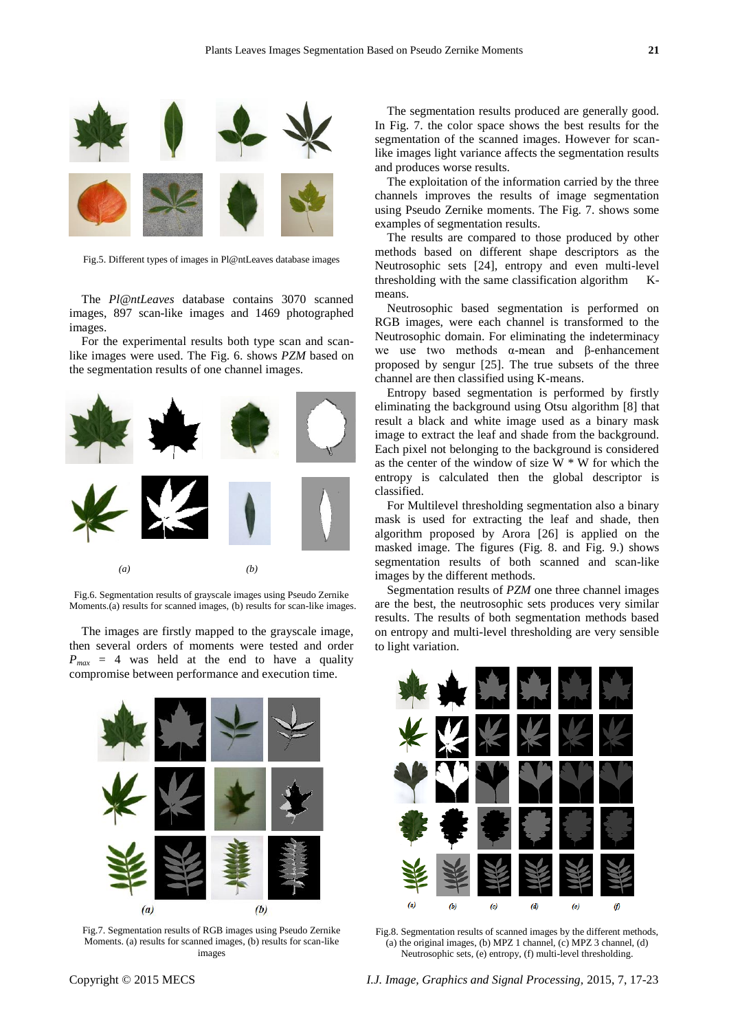

Fig.5. Different types of images in Pl@ntLeaves database images

The *Pl@ntLeaves* database contains 3070 scanned images, 897 scan-like images and 1469 photographed images.

For the experimental results both type scan and scanlike images were used. The Fig. 6. shows *PZM* based on the segmentation results of one channel images.



Fig.6. Segmentation results of grayscale images using Pseudo Zernike Moments.(a) results for scanned images, (b) results for scan-like images.

The images are firstly mapped to the grayscale image, then several orders of moments were tested and order  $P_{max}$  = 4 was held at the end to have a quality compromise between performance and execution time.



Fig.7. Segmentation results of RGB images using Pseudo Zernike Moments. (a) results for scanned images, (b) results for scan-like images

The segmentation results produced are generally good. In Fig. 7. the color space shows the best results for the segmentation of the scanned images. However for scanlike images light variance affects the segmentation results and produces worse results.

The exploitation of the information carried by the three channels improves the results of image segmentation using Pseudo Zernike moments. The Fig. 7. shows some examples of segmentation results.

The results are compared to those produced by other methods based on different shape descriptors as the Neutrosophic sets [24], entropy and even multi-level thresholding with the same classification algorithm Kmeans.

Neutrosophic based segmentation is performed on RGB images, were each channel is transformed to the Neutrosophic domain. For eliminating the indeterminacy we use two methods α-mean and β-enhancement proposed by sengur [25]. The true subsets of the three channel are then classified using K-means.

Entropy based segmentation is performed by firstly eliminating the background using Otsu algorithm [8] that result a black and white image used as a binary mask image to extract the leaf and shade from the background. Each pixel not belonging to the background is considered as the center of the window of size  $W * W$  for which the entropy is calculated then the global descriptor is classified.

For Multilevel thresholding segmentation also a binary mask is used for extracting the leaf and shade, then algorithm proposed by Arora [26] is applied on the masked image. The figures (Fig. 8. and Fig. 9.) shows segmentation results of both scanned and scan-like images by the different methods.

Segmentation results of *PZM* one three channel images are the best, the neutrosophic sets produces very similar results. The results of both segmentation methods based on entropy and multi-level thresholding are very sensible to light variation.



Fig.8. Segmentation results of scanned images by the different methods, (a) the original images, (b) MPZ 1 channel, (c) MPZ 3 channel, (d) Neutrosophic sets, (e) entropy, (f) multi-level thresholding.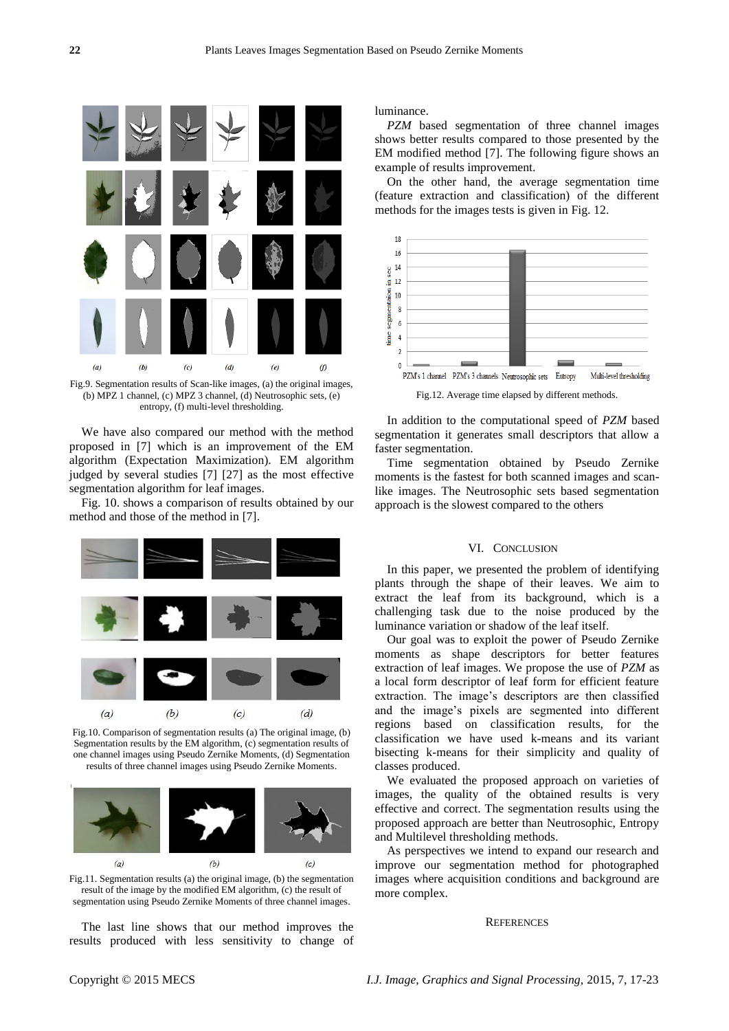

Fig.9. Segmentation results of Scan-like images, (a) the original images, (b) MPZ 1 channel, (c) MPZ 3 channel, (d) Neutrosophic sets, (e) entropy, (f) multi-level thresholding.

We have also compared our method with the method proposed in [7] which is an improvement of the EM algorithm (Expectation Maximization). EM algorithm judged by several studies [7] [27] as the most effective segmentation algorithm for leaf images.

Fig. 10. shows a comparison of results obtained by our method and those of the method in [7].



Fig.10. Comparison of segmentation results (a) The original image, (b) Segmentation results by the EM algorithm, (c) segmentation results of one channel images using Pseudo Zernike Moments, (d) Segmentation results of three channel images using Pseudo Zernike Moments.



Fig.11. Segmentation results (a) the original image, (b) the segmentation result of the image by the modified EM algorithm, (c) the result of segmentation using Pseudo Zernike Moments of three channel images.

The last line shows that our method improves the results produced with less sensitivity to change of luminance.

*PZM* based segmentation of three channel images shows better results compared to those presented by the EM modified method [7]. The following figure shows an example of results improvement.

On the other hand, the average segmentation time (feature extraction and classification) of the different methods for the images tests is given in Fig. 12.



Fig.12. Average time elapsed by different methods.

In addition to the computational speed of *PZM* based segmentation it generates small descriptors that allow a faster segmentation.

Time segmentation obtained by Pseudo Zernike moments is the fastest for both scanned images and scanlike images. The Neutrosophic sets based segmentation approach is the slowest compared to the others

#### VI. CONCLUSION

In this paper, we presented the problem of identifying plants through the shape of their leaves. We aim to extract the leaf from its background, which is a challenging task due to the noise produced by the luminance variation or shadow of the leaf itself.

Our goal was to exploit the power of Pseudo Zernike moments as shape descriptors for better features extraction of leaf images. We propose the use of *PZM* as a local form descriptor of leaf form for efficient feature extraction. The image's descriptors are then classified and the image's pixels are segmented into different regions based on classification results, for the classification we have used k-means and its variant bisecting k-means for their simplicity and quality of classes produced.

We evaluated the proposed approach on varieties of images, the quality of the obtained results is very effective and correct. The segmentation results using the proposed approach are better than Neutrosophic, Entropy and Multilevel thresholding methods.

As perspectives we intend to expand our research and improve our segmentation method for photographed images where acquisition conditions and background are more complex.

#### **REFERENCES**